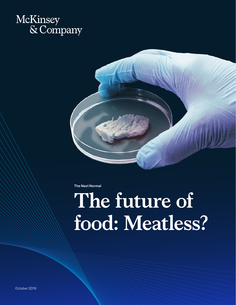



The Next Normal

# **The future of food: Meatless?**

October 2019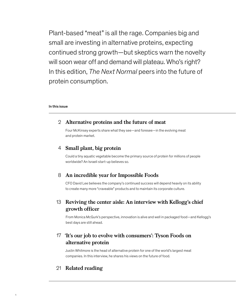Plant-based "meat" is all the rage. Companies big and small are investing in alternative proteins, expecting continued strong growth—but skeptics warn the novelty will soon wear off and demand will plateau. Who's right? In this edition, *The Next Normal* peers into the future of protein consumption.

#### In this issue

### **Alternative proteins and the future of meat** 2

Four McKinsey experts share what they see—and foresee—in the evolving meat and protein market.

### **Small plant, big protein** 4

Could a tiny aquatic vegetable become the primary source of protein for millions of people worldwide? An Israeli start-up believes so.

### **An incredible year for Impossible Foods** 8

CFO David Lee believes the company's continued success will depend heavily on its ability to create many more "craveable" products and to maintain its corporate culture.

## **Reviving the center aisle: An interview with Kellogg's chief**  13 **growth officer**

From Monica McGurk's perspective, innovation is alive and well in packaged food—and Kellogg's best days are still ahead.

## **'It's our job to evolve with consumers': Tyson Foods on**  17 **alternative protein**

Justin Whitmore is the head of alternative protein for one of the world's largest meat companies. In this interview, he shares his views on the future of food.

### 21 **Related reading**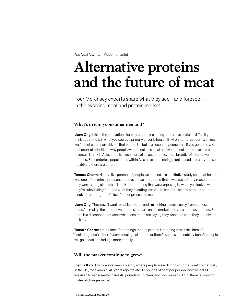*The Next Normal* | Video transcript

## **Alternative proteins and the future of meat**

Four McKinsey experts share what they see—and foresee in the evolving meat and protein market.

#### **What's driving consumer demand?**

Liane Ong: I think the motivations for why people are eating alternative proteins differ. If you think about the US, what you see as a primary driver is health. Environmental concerns, animal welfare, et cetera, are drivers that people list but are secondary concerns. If you go to the UK, that order of priorities—why people want to eat less meat and want to eat alternative proteins reverses. I think in Asia, there is much more of an acceptance, more broadly, of alternative proteins. For centuries, populations within Asia have been eating plant-based proteins, and so the drivers there are different.

**Tamara Charm:** Ninety-five percent of people we studied in a qualitative study said that health was one of the primary reasons—and over two-thirds said that it was *the* primary reason—that they were eating alt protein. I think another thing that was surprising is, when you look at what they're substituting for—and what they're eating less of—to eat more alt proteins, it's not red meat. It's not burgers: it's fast food or processed meats.

Liane Ong: They say, "I want to eat less meat, and I'm looking to move away from processed foods." In reality, the alternative proteins that are on the market today are processed foods. So, there is a disconnect between what consumers are saying they want and what they perceive to be true.

Tamara Charm: I think one of the things that alt protein is tapping into is this idea of "ecoindulgence": if there's some ecological benefit or there's some sustainability benefit, people will go ahead and indulge more happily.

#### **Will the market continue to grow?**

Joshua Katz: I think we've seen a history where people are willing to shift their diet dramatically. In the US, for example, 40 years ago, we ate 90 pounds of beef per person; now we eat 60. We used to eat something like 40 pounds of chicken, and now we eat 90. So, there is room for material changes in diet.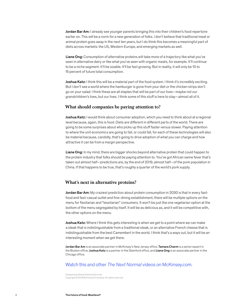Jordan Bar Am: I already see younger parents bringing this into their children's food repertoire earlier on. This will be a norm for a new generation of folks. I don't believe that traditional meat or animal protein goes away in the next ten years, but I do think this becomes a meaningful part of diets across markets: the US, Western Europe, and emerging markets as well.

Liane Ong: Consumption of alternative proteins will take more of a trajectory like what you've seen in alternative dairy or like what you've seen with organic meats, for example. It'll continue to be a niche segment. It'll be sizable. It'll be fast growing. But in reality, it will only be 10 to 15 percent of future total consumption.

Joshua Katz: I think this will be a material part of the food system. I think it's incredibly exciting. But I don't see a world where the hamburger is gone from your diet or the chicken strips don't go on your salad. I think these are all staples that will be part of our lives—maybe not our grandchildren's lives, but our lives. I think some of this stuff is here to stay—almost all of it.

#### **What should companies be paying attention to?**

Joshua Katz: I would think about consumer adoption, which you need to think about at a regional level because, again, this is food. Diets are different in different parts of the world. There are going to be some surprises about who picks up this stuff faster versus slower. Paying attention to where the unit economics are going to fall, or could fall, for each of these technologies will also be material because, candidly, that's going to drive adoption of what you can charge and how attractive it can be from a margin perspective.

Liane Ong: In my mind, there are bigger shocks beyond alternative protein that could happen to the protein industry that folks should be paying attention to. You've got African swine fever that's taken out almost half—predictions are, by the end of 2019, almost half—of the pork population in China. If that happens to be true, that's roughly a quarter of the world's pork supply.

#### **What's next in alternative proteins?**

Jordan Bar Am: My craziest prediction about protein consumption in 2030 is that in every fastfood and fast-casual outlet and fine-dining establishment, there will be multiple options on the menu for flexitarian and "lessitarian" consumers. It won't be just the one vegetarian option at the bottom of the menu segregated by itself. It will be as delicious as, and it will be competitive with, the other options on the menu.

Joshua Katz: Where I think this gets interesting is when we get to a point where we can make a steak that is indistinguishable from a traditional steak, or an alternative French cheese that is indistinguishable from the best Camembert in the world. I think that's a ways out, but it will be an interesting moment when we get there.

Jordan Bar Am is an associate partner in McKinsey's New Jersey office, Tamara Charm is a senior expert in the Boston office, Joshua Katz is a partner in the Stamford office, and Liane Ong is an associate partner in the Chicago office.

#### Watch this and other *The Next Normal* videos on McKinsey.com.

Designed by Global Editorial Services Copyright © 2019 McKinsey & Company. All rights reserved.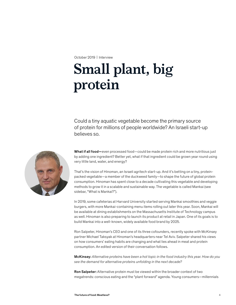October 2019 | Interview

## **Small plant, big protein**

Could a tiny aquatic vegetable become the primary source of protein for millions of people worldwide? An Israeli start-up believes so.



What if all food—even processed food—could be made protein rich and more nutritious just by adding one ingredient? Better yet, what if that ingredient could be grown year round using very little land, water, and energy?

That's the vision of Hinoman, an Israeli agritech start-up. And it's betting on a tiny, proteinpacked vegetable—a member of the duckweed family—to shape the future of global protein consumption. Hinoman has spent close to a decade cultivating this vegetable and developing methods to grow it in a scalable and sustainable way. The vegetable is called Mankai (see sidebar, "What is Mankai?").

In 2019, some cafeterias at Harvard University started serving Mankai smoothies and veggie burgers, with more Mankai-containing menu items rolling out later this year. Soon, Mankai will be available at dining establishments on the Massachusetts Institute of Technology campus as well. Hinoman is also preparing to launch its product at retail in Japan. One of its goals is to build Mankai into a well-known, widely available food brand by 2025.

Ron Salpeter, Hinoman's CEO and one of its three cofounders, recently spoke with McKinsey partner Michael Taksyak at Hinoman's headquarters near Tel Aviv. Salpeter shared his views on how consumers' eating habits are changing and what lies ahead in meat and protein consumption. An edited version of their conversation follows.

McKinsey: *Alternative proteins have been a hot topic in the food industry this year. How do you see the demand for alternative proteins unfolding in the next decade?*

Ron Salpeter: Alternative protein must be viewed within the broader context of two megatrends: conscious eating and the "plant forward" agenda. Young consumers—millennials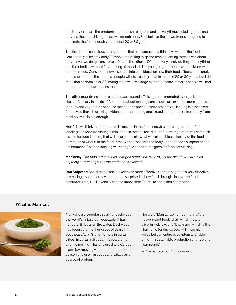and Gen Zers—are the predominant force shaping demand in everything, including food, and they are the ones driving these two megatrends. So, I believe these two trends are going to dominate the food industry in the next 20 or 30 years.

The first trend, conscious eating, means that consumers now think, "How does the food that I eat actually affect my body?" People are willing to spend time educating themselves about this. I have two daughters—one is 24 and the other is 20—and very rarely do they put anything into their bodies without first looking at the label. The younger generations want to know what is in their food. Consumers now also take into consideration how their food affects the planet. I don't subscribe to the idea that people will stop eating meat in the next 20 or 30 years, but I do think that as soon as 2030, eating meat will, to a large extent, become immoral; people will feel rather uncomfortable eating meat.

The other megatrend is the plant-forward agenda. This agenda, promoted by organizations like the Culinary Institute of America, is about making sure people are exposed more and more to fruits and vegetables because these foods provide elements that are lacking in processed foods. And there is growing evidence that procuring one's needs for protein or iron solely from meat sources is not enough.

Here's how I think these trends will translate in the food industry: more regulation in food labeling and food marketing. I think that, in the not-too-distant future, regulators will establish a scale for food labeling that will clearly indicate what we call the bioavailability of the food how much of what is in the food is really absorbed into the body—and the food's impact on the environment. So, food labeling will change. And the same goes for food advertising.

McKinsey: *The food industry has changed quite a bit, even in just the past few years. Has anything surprised you as the market has evolved?* 

Ron Salpeter: Social media has proven even more effective than I thought. It is very effective in creating a space for newcomers. I'm surprised at how fast it brought innovative food manufacturers, like Beyond Meat and Impossible Foods, to consumers' attention.

#### **What is Mankai?**



"Mankai is a proprietary strain of duckweed, the world's tiniest leaf vegetable. It has no roots; it floats on the water. Duckweed has been eaten for hundreds of years in Southeast Asia. Grandmothers in certain tribes, in certain villages, in Laos, Vietnam, and the north of Thailand used to pick it up from slow-moving water bodies in the winter season and use it in soups and salads as a source of protein.

The word 'Mankai' combines 'manna,' the heaven-sent food; 'chai,' which means 'alive' in Hebrew; and 'khai-nam,' which is the Thai name for duckweed. At Hinoman, we've built an entire ecosystem to enable uniform, sustainable production of this plant year round."

—Ron Salpeter, CEO, Hinoman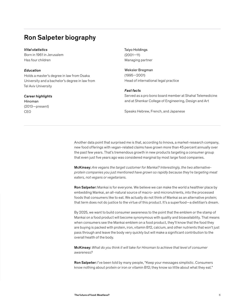## Ron Salpeter biography

#### *Vital statistics*

Born in 1961 in Jerusalem Has four children

#### *Education*

Holds a master's degree in law from Osaka University and a bachelor's degree in law from Tel Aviv University

#### *Career highlights*

Hinoman (2013—present) CEO

Taiyo Holdings (2001—11) Managing partner

Weksler Bregman (1995—2001) Head of international legal practice

#### *Fast facts*

Served as a pro bono board member at Shahal Telemedicine and at Shenkar College of Engineering, Design and Art

Speaks Hebrew, French, and Japanese

Another data point that surprised me is that, according to Innova, a market-research company, new food offerings with vegan-related claims have grown more than 45 percent annually over the past few years. That's tremendous growth in new products targeting a consumer group that even just five years ago was considered marginal by most large food companies.

McKinsey: *Are vegans the target customer for Mankai? Interestingly, the two alternativeprotein companies you just mentioned have grown so rapidly because they're targeting meat eaters, not vegans or vegetarians.* 

Ron Salpeter: Mankai is for everyone. We believe we can make the world a healthier place by embedding Mankai, an all-natural source of macro- and micronutrients, into the processed foods that consumers like to eat. We actually do not think of Mankai as an alternative protein; that term does not do justice to the virtue of this product. It's a superfood—a dietitian's dream.

By 2025, we want to build consumer awareness to the point that the emblem or the stamp of Mankai on a food product will become synonymous with quality and bioavailability. That means when consumers see the Mankai emblem on a food product, they'll know that the food they are buying is packed with protein, iron, vitamin B12, calcium, and other nutrients that won't just pass through and leave the body very quickly but will make a significant contribution to the overall health of the body.

McKinsey: *What do you think it will take for Hinoman to achieve that level of consumer awareness?*

Ron Salpeter: I've been told by many people, "Keep your messages simplistic. Consumers know nothing about protein or iron or vitamin B12; they know so little about what they eat."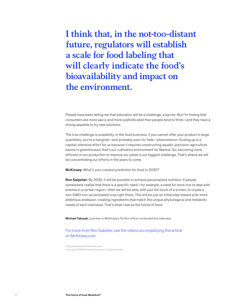**I think that, in the not-too-distant future, regulators will establish a scale for food labeling that will clearly indicate the food's bioavailability and impact on the environment.** 

People have been telling me that education will be a challenge, a barrier. But I'm finding that consumers are more savvy and more sophisticated than people tend to think—and they have a strong appetite to try new solutions.

The true challenge is scalability. In the food business, if you cannot offer your product in large quantities, you're a marginal—and probably soon-to-fade—phenomenon. Scaling up is a capital-intensive effort for us because it requires constructing aquatic precision-agriculture basins in greenhouses; that's our cultivation environment for Mankai. So, becoming more efficient in our production to improve our yields is our biggest challenge. That's where we will be concentrating our efforts in the years to come.

#### McKinsey: *What's your craziest prediction for food in 2030?*

Ron Salpeter: By 2030, it will be possible to achieve personalized nutrition. If people somewhere realize that there is a specific need—for example, a need for more iron to deal with anemia in a certain region—then we will be able, with just the touch of a screen, to create a non-GMO iron-accentuated crop right there. This will be just an initial step toward a far more ambitious endeavor: creating ingredients that match the unique physiological and metabolic needs of each individual. That's what I see as the future of food.

Michael Taksyak, a partner in McKinsey's Tel Aviv office, conducted this interview.

#### For more from Ron Salpeter, see the videos accompanying this article on McKinsey.com.

Designed by Global Editorial Services Copyright © 2019 McKinsey & Company. All rights reserved.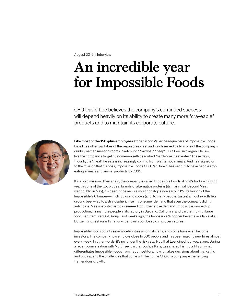#### August 2019 | Interview

## **An incredible year for Impossible Foods**

CFO David Lee believes the company's continued success will depend heavily on its ability to create many more "craveable" products and to maintain its corporate culture.



Like most of the 150-plus employees at the Silicon Valley headquarters of Impossible Foods, David Lee often partakes of the vegan breakfast and lunch served daily in one of the company's quirkily named meeting rooms ("Ketchup," "Narwhal," "Zeep"). But Lee isn't vegan. He is like the company's target customer—a self-described "hard-core meat eater." These days, though, the "meat" he eats is increasingly coming from plants, not animals. And he's signed on to the mission that his boss, Impossible Foods CEO Pat Brown, has set out: to have people stop eating animals and animal products by 2035.

It's a bold mission. Then again, the company is called Impossible Foods. And it's had a whirlwind year: as one of the two biggest brands of alternative proteins (its main rival, Beyond Meat, went public in May), it's been in the news almost nonstop since early 2019. Its launch of the Impossible 2.0 burger—which looks and cooks (and, to many people, tastes) almost exactly like ground beef—led to a stratospheric rise in consumer demand that even the company didn't anticipate. Massive out-of-stocks seemed to further stoke demand. Impossible ramped up production, hiring more people at its factory in Oakland, California, and partnering with large food manufacturer OSI Group. Just weeks ago, the Impossible Whopper became available at all Burger King restaurants nationwide; it will soon be sold in grocery stores.

Impossible Foods counts several celebrities among its fans, and some have even become investors. The company now employs close to 500 people and has been making new hires almost every week. In other words, it's no longer the risky start-up that Lee joined four years ago. During a recent conversation with McKinsey partner Joshua Katz, Lee shared his thoughts on what differentiates Impossible Foods from its competitors, how it makes decisions about marketing and pricing, and the challenges that come with being the CFO of a company experiencing tremendous growth.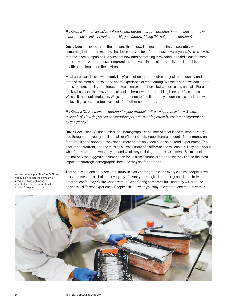McKinsey: *It feels like we've entered a new period of unprecedented demand and interest in plant-based proteins. What are the biggest factors driving this heightened demand?* 

David Lee: It's not so much the demand that's new. The meat eater has desperately wanted something better than meat but has been starved for it for the past several years. What's new is that there are companies like ours that now offer something "craveable" and delicious for meat eaters like me, without those compromises that we're in denial about—like the impact to our health or the impact on the environment.

Meat eaters are in love with meat. They're emotionally connected not just to the quality and the taste of the meat but also to the entire experience of meat eating. We believe that we can create that same craveability that feeds the meat-eater addiction—but without using animals. For us, the key has been this crazy molecule called heme, which is a building block of life in animals. We call it the magic molecule. We just happened to find it naturally occurring in a plant, and we believe it gives us an edge over a lot of the other competition.

McKinsey: *Do you think the demand for your products will come primarily from Western millennials? How do you see consumption patterns evolving either by customer segment or by geography?*

David Lee: In the US, the number-one demographic consumer of meat is the millennial. Many had thought that younger millennials don't spend a disproportionate amount of their money on food. But it's the opposite: they spend more on not only food but also on food experiences. The chef, the restaurant, and the mission all make more of a difference to millennials. They care about what food says about who they are and what they're doing for the environment. So, millennials are not only the biggest consumer base for us from a financial standpoint; they're also the most important strategic demographic, because they set food trends.

That said, meat and dairy are ubiquitous. In every demographic and every culture, people crave dairy and meat as part of their everyday life. And you can give the same ground beef to two different chefs—say, White Castle versus David Chang at Momofuku—and they will produce an entirely different experience. People ask, "How do you stay relevant for one market versus



A scientist at Impossible Food's Silicon Valley lab inspects the company's product, which is shipped to distributors and restaurants in the form of five-pound bricks.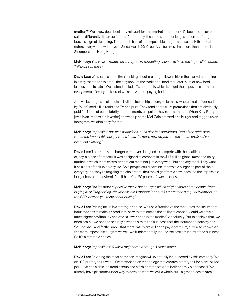another?" Well, how does beef stay relevant for one market or another? It's because it can be spiced differently. It can be "pattied" differently. It can be seared or long-simmered. It's a great bao. It's a great dumpling. The same is true of the Impossible burger, and we think that meat eaters everywhere will crave it. Since March 2019, our Asia business has more than tripled in Singapore and Hong Kong.

McKinsey: *You've also made some very savvy marketing choices to build the Impossible brand. Tell us about those.*

David Lee: We spend a lot of time thinking about creating followership in the market and doing it in a way that tends to break the playbook of the traditional food marketer. A lot of new food brands rush to retail. We instead pulled off a neat trick, which is to get the Impossible brand on every menu of every restaurant we're in, without paying for it.

And we leverage social media to build followership among millennials, who are not influenced by "push" media like radio and TV and print. They tend not to trust promotions that are obviously paid for. None of our celebrity endorsements are paid—they're all authentic. When Katy Perry [who is an Impossible investor] showed up at the Met Gala dressed as a burger and tagged us on Instagram, we didn't pay for that.

McKinsey: *Impossible has won many fans, but it also has detractors. One of the criticisms is that the Impossible burger isn't a healthful food. How do you see the health profile of your products evolving?*

David Lee: The Impossible burger was never designed to compete with the health benefits of, say, a piece of broccoli. It was designed to compete in the \$1.7 trillion global meat and dairy market in which meat eaters want to eat meat not just every week but at every meal. They want it as a part of their everyday life. So if people could have an Impossible burger as part of their everyday life, they're forgoing the cholesterol that they'd get from a cow, because the Impossible burger has no cholesterol. And it has 10 to 20 percent fewer calories.

McKinsey: *But it's more expensive than a beef burger, which might hinder some people from buying it. At Burger King, the Impossible Whopper is about \$1 more than a regular Whopper. As the CFO, how do you think about pricing?* 

**David Lee:** Pricing for us is a strategic choice. We use a fraction of the resources the incumbent industry does to make its products, so with that comes the ability to choose. Could we have a much higher profitability and offer a lower price in the market? Absolutely. But to achieve that, we need scale—we need to actually have the size of the business that the incumbent industry has. So, I go back and forth: I know that meat eaters are willing to pay a premium, but I also know that the more Impossible burgers we sell, we fundamentally reduce the cost structure of the business. So it's a strategic choice.

#### McKinsey: *Impossible 2.0 was a major breakthrough. What's next?*

**David Lee:** Anything the meat eater can imagine will eventually be launched by this company. We do 100 prototypes a week. We're working on technology that creates prototypes for plant-based pork. I've had a chicken noodle soup and a fish risotto that were both entirely plant based. We already have platforms under way to develop what we call a whole cut—a great piece of steak,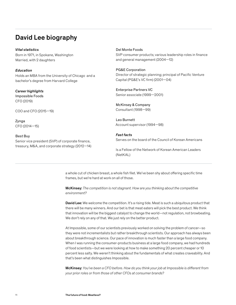## David Lee biography

*Vital statistics* Born in 1971, in Spokane, Washington Married, with 2 daughters

*Education* Holds an MBA from the University of Chicago and a bachelor's degree from Harvard College

*Career highlights* Impossible Foods CFO (2019)

COO and CFO (2015—19)

Zynga CFO (2014—15)

Best Buy Senior vice president (SVP) of corporate finance, treasury, M&A, and corporate strategy (2012—14)

#### Del Monte Foods

SVP consumer products; various leadership roles in finance and general management (2004—12)

PG&E Corporation

Director of strategic planning; principal of Pacific Venture Capital (PG&E's VC firm) (2001—04)

Enterprise Partners VC Senior associate (1999—2001)

McKinsey & Company Consultant (1998—99)

Leo Burnett Account supervisor (1994—98)

*Fast facts* Serves on the board of the Council of Korean Americans

Is a Fellow of the Network of Korean American Leaders (NetKAL)

a whole cut of chicken breast, a whole fish filet. We've been shy about offering specific time frames, but we're hard at work on all of those.

McKinsey: *The competition is not stagnant. How are you thinking about the competitive environment?*

David Lee: We welcome the competition. It's a rising tide. Meat is such a ubiquitous product that there will be many winners. And our bet is that meat eaters will pick the best product. We think that innovation will be the biggest catalyst to change the world—not regulation, not browbeating. We don't rely on any of that. We just rely on the better product.

At Impossible, some of our scientists previously worked on solving the problem of cancer—so they were not incrementalists but rather breakthrough scientists. Our approach has always been about breakthrough science. Our pace of innovation is much faster than a large food company. When I was running the consumer-products business at a large food company, we had hundreds of food scientists—but we were looking at how to make something 20 percent cheaper or 10 percent less salty. We weren't thinking about the fundamentals of what creates craveability. And that's been what distinguishes Impossible.

McKinsey: *You've been a CFO before. How do you think your job at Impossible is different from your prior roles or from those of other CFOs at consumer brands?*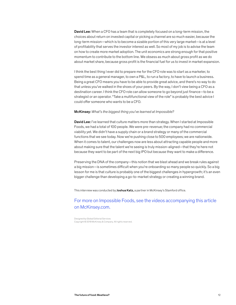David Lee: When a CFO has a team that is completely focused on a long-term mission, the choices about return on invested capital or picking a channel are so much easier, because the long-term mission—which is to become a sizable portion of this very large market—is at a level of profitability that serves the investor interest as well. So most of my job is to advise the team on how to create more market adoption. The unit economics are strong enough for that positive momentum to contribute to the bottom line. We obsess as much about gross profit as we do about market share, because gross profit is the financial fuel for us to invest in market expansion.

I think the best thing I ever did to prepare me for the CFO role was to start as a marketer, to spend time as a general manager, to own a P&L, to run a factory, to have to launch a business. Being a great CFO means you have to be able to provide great advice, and there's no way to do that unless you've walked in the shoes of your peers. By the way, I don't view being a CFO as a destination career. I think the CFO role can allow someone to go beyond just finance—to be a strategist or an operator. "Take a multifunctional view of the role" is probably the best advice I could offer someone who wants to be a CFO.

#### McKinsey: *What's the biggest thing you've learned at Impossible?*

**David Lee:** I've learned that culture matters more than strategy. When I started at Impossible Foods, we had a total of 100 people. We were pre-revenue; the company had no commercial viability yet. We didn't have a supply chain or a brand strategy or many of the commercial functions that we see today. Now we're pushing close to 500 employees; we are nationwide. When it comes to talent, our challenges now are less about attracting capable people and more about making sure that the talent we're seeing is truly mission-aligned—that they're here not because they want to be part of the next big IPO but because they want to make a difference.

Preserving the DNA of the company—this notion that we blast ahead and we break rules against a big mission—is sometimes difficult when you're onboarding so many people so quickly. So a big lesson for me is that culture is probably one of the biggest challenges in hypergrowth; it's an even bigger challenge than developing a go-to-market strategy or creating a winning brand.

This interview was conducted by Joshua Katz, a partner in McKinsey's Stamford office.

### For more on Impossible Foods, see the videos accompanying this article on McKinsey.com.

Designed by Global Editorial Services Copyright © 2019 McKinsey & Company. All rights reserved.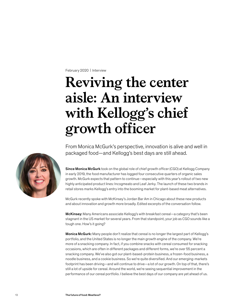February 2020 | Interview

## **Reviving the center aisle: An interview with Kellogg's chief growth officer**

From Monica McGurk's perspective, innovation is alive and well in packaged food—and Kellogg's best days are still ahead.

Since Monica McGurk took on the global role of chief growth officer (CGO) at Kellogg Company in early 2019, the food manufacturer has logged four consecutive quarters of organic sales growth. McGurk expects that pattern to continue—especially with this year's rollout of two new highly anticipated product lines: Incogmeato and Leaf Jerky. The launch of these two brands in retail stores marks Kellogg's entry into the booming market for plant-based meat alternatives.

McGurk recently spoke with McKinsey's Jordan Bar Am in Chicago about these new products and about innovation and growth more broadly. Edited excerpts of the conversation follow.

McKinsey: Many Americans associate Kellogg's with breakfast cereal—a category that's been stagnant in the US market for several years. From that standpoint, your job as CGO sounds like a tough one. How's it going?

Monica McGurk: Many people don't realize that cereal is no longer the largest part of Kellogg's portfolio, and the United States is no longer the main growth engine of the company. We're more of a snacking company. In fact, if you combine snacks with cereal consumed for snacking occasions, which are often in different packages and different forms, we're over 55 percent a snacking company. We've also got our plant-based-protein business, a frozen-food business, a noodle business, and a cookie business. So we're quite diversified. And our emerging-markets footprint has been driving—and will continue to drive—a lot of our growth. On top of that, there's still a lot of upside for cereal. Around the world, we're seeing sequential improvement in the performance of our cereal portfolio. I believe the best days of our company are yet ahead of us.

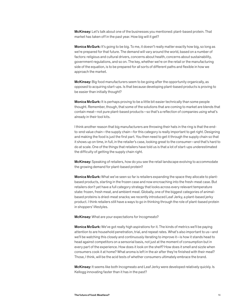McKinsey: Let's talk about one of the businesses you mentioned: plant-based protein. That market has taken off in the past year. How big will it get?

**Monica McGurk:** It's going to be big. To me, it doesn't really matter exactly how big, so long as we're prepared for that future. The demand will vary around the world, based on a number of factors: religious and cultural drivers, concerns about health, concerns about sustainability, government regulations, and so on. The key, whether we're on the retail or the manufacturing side of the equation, is to be prepared for all sorts of different paths and flexible in how we approach the market.

McKinsey: Big food manufacturers seem to be going after the opportunity organically, as opposed to acquiring start-ups. Is that because developing plant-based products is proving to be easier than initially thought?

Monica McGurk: It is perhaps proving to be a little bit easier technically than some people thought. Remember, though, that some of the solutions that are coming to market are blends that contain meat—not pure plant-based products—so that's a reflection of companies using what's already in their tool kits.

I think another reason that big manufacturers are throwing their hats in the ring is that the endto-end value chain—the supply chain—for this category is really important to get right. Designing and making the food is just the first part. You then need to get it through the supply chain so that it shows up on time, in full, in the retailer's case, looking great to the consumer—and that's hard to do at scale. One of the things that retailers have told us is that a lot of start-ups underestimated the difficulty of getting the supply chain right.

McKinsey: Speaking of retailers, how do you see the retail landscape evolving to accommodate the growing demand for plant-based protein?

**Monica McGurk:** What we've seen so far is retailers expanding the space they allocate to plantbased products, starting in the frozen case and now encroaching into the fresh-meat case. But retailers don't yet have a full category strategy that looks across every relevant temperature state: frozen, fresh meat, and ambient meat. Globally, one of the biggest categories of animalbased proteins is dried-meat snacks; we recently introduced Leaf Jerky, a plant-based jerky product. I think retailers still have a ways to go in thinking through the role of plant-based protein in shoppers' lifestyles.

McKinsey: What are your expectations for Incogmeato?

Monica McGurk: We've got really high aspirations for it. The kinds of metrics we'll be paying attention to are household penetration, trial, and repeat rates. What's also important to us—and we'll be watching this closely and continuously iterating to improve it—is how it stands head to head against competitors on a sensorial basis, not just at the moment of consumption but in every part of the experience. How does it look on the shelf? How does it smell and sizzle when consumers cook it at home? What aroma is left in the air after they're finished with their meal? Those, I think, will be the acid tests of whether consumers ultimately embrace the brand.

McKinsey: It seems like both Incogmeato and Leaf Jerky were developed relatively quickly. Is Kellogg innovating faster than it has in the past?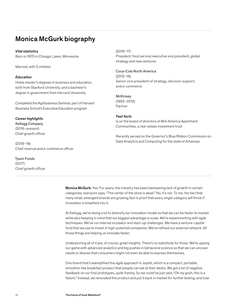## Monica McGurk biography

#### *Vital statistics*

Born in 1970 in Chisago Lakes, Minnesota

Married, with 3 children

#### *Education*

Holds master's degrees in business and education, both from Stanford University, and a bachelor's degree in government from Harvard University

Completed the Agribusiness Seminar, part of Harvard Business School's Executive Education program

#### *Career highlights*

Kellogg Company (2019–present) Chief growth officer

(2018–19) Chief revenue and e-commerce officer

Tyson Foods (2017) Chief growth officer

#### (2016–17)

President, food service; executive vice president, global strategy and new ventures

#### Coca-Cola North America (2012–16) Senior vice president of strategy, decision support, and e-commerce

## McKinsey

(1993–2012) Partner

#### *Fast facts*

Is on the board of directors of Mid-America Apartment Communities, a real-estate investment trust

Recently served on the Governor's Blue Ribbon Commission on Data Analytics and Computing for the state of Arkansas

**Monica McGurk:** Yes. For years, the industry has been bemoaning lack of growth in certain categories; everyone says, "The center of the store is dead." No, it's not. To me, the fact that many small, emergent brands are growing fast is proof that every single category will thrive if innovation is breathed into it.

At Kellogg, we're doing a lot to diversify our innovation model so that we can be faster to market while also keeping in mind that our biggest advantage is scale. We're experimenting with agile techniques. We've run internal incubator and start-up challenges. We have a venture-capital fund that we use to invest in high-potential companies. We've refined our external network. All those things are helping us innovate faster.

Underpinning all of it are, of course, great insights. There's no substitute for those. We're upping our game with advanced analytics and big pushes in behavioral science so that we can uncover needs or desires that consumers might not even be able to express themselves.

One brand that's exemplified this agile approach is Joyböl, which is a compact, portable, smoothie-like breakfast product that people can eat at their desks. We got a lot of negative feedback on our first prototypes, quite frankly. So we could've just said, "Oh my gosh, this is a failure." Instead, we renovated the product and put it back in market for further testing, and now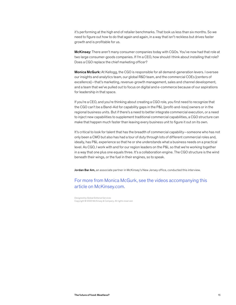it's performing at the high end of retailer benchmarks. That took us less than six months. So we need to figure out how to do that again and again, in a way that isn't reckless but drives faster growth and is profitable for us.

McKinsey: There aren't many consumer companies today with CGOs. You've now had that role at two large consumer-goods companies. If I'm a CEO, how should I think about installing that role? Does a CGO replace the chief marketing officer?

**Monica McGurk:** At Kellogg, the CGO is responsible for all demand-generation levers. I oversee our insights and analytics team, our global R&D team, and the commercial COEs [centers of excellence]—that's marketing, revenue-growth management, sales and channel development, and a team that we've pulled out to focus on digital and e-commerce because of our aspirations for leadership in that space.

If you're a CEO, and you're thinking about creating a CGO role, you first need to recognize that the CGO can't be a Band-Aid for capability gaps in the P&L [profit-and-loss] owners or in the regional business units. But if there's a need to better integrate commercial execution, or a need to inject new capabilities to supplement traditional commercial capabilities, a CGO structure can make that happen much faster than leaving every business unit to figure it out on its own.

It's critical to look for talent that has the breadth of commercial capability—someone who has not only been a CMO but also has had a tour of duty through lots of different commercial roles and, ideally, has P&L experience so that he or she understands what a business needs on a practical level. As CGO, I work with and for our region leaders on the P&L so that we're working together in a way that one plus one equals three. It's a collaboration engine. The CGO structure is the wind beneath their wings, or the fuel in their engines, so to speak.

Jordan Bar Am, an associate partner in McKinsey's New Jersey office, conducted this interview.

## For more from Monica McGurk, see the videos accompanying this article on McKinsey.com.

Designed by Global Editorial Services Copyright © 2020 McKinsey & Company. All rights reserved.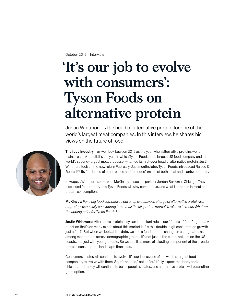October 2019 | Interview

## **'It's our job to evolve with consumers': Tyson Foods on alternative protein**

Justin Whitmore is the head of alternative protein for one of the world's largest meat companies. In this interview, he shares his views on the future of food.



The food industry may well look back on 2019 as the year when alternative proteins went mainstream. After all, it's the year in which Tyson Foods—the largest US food company and the world's second-largest meat processor—named its first-ever head of alternative protein. Justin Whitmore took on the new role in February. Just months later, Tyson Foods introduced Raised & Rooted™, its first brand of plant-based and "blended" (made of both meat and plants) products.

In August, Whitmore spoke with McKinsey associate partner Jordan Bar Am in Chicago. They discussed food trends, how Tyson Foods will stay competitive, and what lies ahead in meat and protein consumption.

McKinsey: *For a big food company to put a top executive in charge of alternative protein is a huge step, especially considering how small the alt-protein market is relative to meat. What was the tipping point for Tyson Foods?*

Justin Whitmore: Alternative protein plays an important role in our "future of food" agenda. A question that's on many minds about this market is, "Is this double-digit consumption growth just a fad?" But when we look at the data, we see a fundamental change in eating patterns among meat eaters across demographic groups. It's not just in the cities, not just on the US coasts, not just with young people. So we see it as more of a lasting component of the broader protein-consumption landscape than a fad.

Consumers' tastes will continue to evolve. It's our job, as one of the world's largest food companies, to evolve with them. So, it's an "and," not an "or." I fully expect that beef, pork, chicken, and turkey will continue to be on people's plates, and alternative protein will be another great option.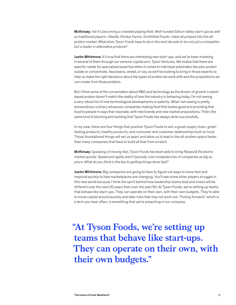McKinsey: *Yet it's becoming a crowded playing field. Well-funded Silicon Valley start-ups as well as traditional players—Nestlé, Perdue Farms, Smithfield Foods—have all jumped into the altprotein market. What does Tyson Foods have to do in the next decade to be not just a competitor but a leader in alternative proteins?*

**Justin Whitmore:** It's true that there are interesting new start-ups, and we've been investing in several of them through our venture-capital arm, Tyson Ventures. We realize that there are specific needs for specialized expertise when it comes to individual substrates like pea-protein isolate or concentrate, fava beans, wheat, or soy, so we'll be looking to bring in those experts to help us make the right decisions about the types of protein we work with and the propositions we can create from those proteins.

But I think some of the conversation about R&D and technology as the drivers of growth in plantbased protein doesn't match the reality of how the industry is behaving today. I'm not seeing a very robust list of new technological developments or patents. What I am seeing is pretty extraordinary culinary advances: companies making food that tastes good and providing that food to people in ways that resonate, with new brands and new market propositions. That's the same kind of blocking and tackling that Tyson Foods has always done successfully.

In my view, there are four things that position Tyson Foods to win: a great supply chain, greattasting products, healthy products, and consumer and customer relationships built on trust. Those foundational things will set us apart and allow us to lead in the alt-protein space faster than many companies that have to build all that from scratch.

McKinsey: *Speaking of moving fast, Tyson Foods has been able to bring Raised & Rooted to market quickly. Speed and agility aren't typically core competencies of companies as big as yours. What do you think is the key to getting things done fast?* 

Justin Whitmore: Big companies are going to have to figure out ways to move fast and respond quickly to how marketplaces are changing. You'll see some other players struggle in this new world because I think the spirit behind how leadership teams lead and invest will be different over the next 20 years than over the past 50. At Tyson Foods, we're setting up teams that behave like start-ups. They can operate on their own, with their own budgets. They're able to move capital around quickly and take risks that may not work out. "Failing forward," which is a term you hear often, is something that we're preaching in our company.

**"At Tyson Foods, we're setting up teams that behave like start-ups. They can operate on their own, with their own budgets."**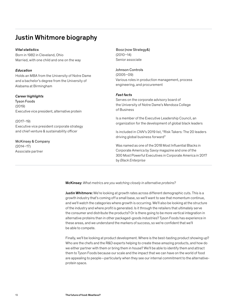## Justin Whitmore biography

#### *Vital statistics*

Born in 1982 in Cleveland, Ohio Married, with one child and one on the way

#### *Education*

Holds an MBA from the University of Notre Dame and a bachelor's degree from the University of Alabama at Birmingham

#### *Career highlights*

Tyson Foods (2019) Executive vice president, alternative protein

(2017–19) Executive vice president corporate strategy and chief venture & sustainability officer

McKinsey & Company (2014–17) Associate partner

Booz (now Strategy&) (2010–14) Senior associate

Johnson Controls (2005–09) Various roles in production management, process engineering, and procurement

#### *Fast facts*

Serves on the corporate advisory board of the University of Notre Dame's Mendoza College of Business

Is a member of the Executive Leadership Council, an organization for the development of global black leaders

Is included in *CNN*'s 2019 list, "Risk Takers: The 20 leaders driving global business forward"

Was named as one of the 2018 Most Influential Blacks in Corporate America by *Savoy* magazine and one of the 300 Most Powerful Executives in Corporate America in 2017 by *Black Enterprise*

McKinsey: *What metrics are you watching closely in alternative proteins?*

Justin Whitmore: We're looking at growth rates across different demographic cuts. This is a growth industry that's coming off a small base, so we'll want to see that momentum continue, and we'll watch the categories where growth is occurring. We'll also be looking at the structure of the industry and where profit is generated. Is it through the retailers that ultimately serve the consumer and distribute the products? Or is there going to be more vertical integration in alternative proteins than in other packaged-goods industries? Tyson Foods has experience in these areas, and we understand the markers of success, so we're confident that we'll be able to compete.

Finally, we'll be looking at product development. Where is the best-tasting product showing up? Who are the chefs and the R&D experts helping to create these amazing products, and how do we either partner with them or bring them in house? We'll be able to identify them and attract them to Tyson Foods because our scale and the impact that we can have on the world of food are appealing to people—particularly when they see our internal commitment to the alternativeprotein space.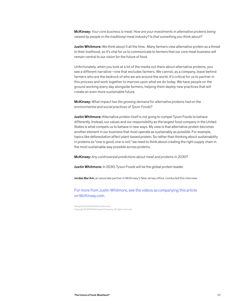McKinsey: *Your core business is meat. How are your investments in alternative proteins being viewed by people in the traditional meat industry? Is that something you think about?*

Justin Whitmore: We think about it all the time. Many farmers view alternative protein as a threat to their livelihood, so it's vital for us to communicate to farmers that our core meat business will remain central to our vision for the future of food.

Unfortunately, when you look at a lot of the media out there about alternative proteins, you see a different narrative—one that excludes farmers. We cannot, as a company, leave behind farmers who are the bedrock of who we are around the world. It's critical for us to partner in this process and work together to improve upon what we do today. We have people on the ground working every day alongside farmers, helping them deploy new practices that will create an even more sustainable future.

McKinsey: *What impact has the growing demand for alternative proteins had on the environmental and social practices of Tyson Foods?* 

Justin Whitmore: Alternative protein itself is not going to compel Tyson Foods to behave differently. Instead, our values and our responsibility as the largest food company in the United States is what compels us to behave in new ways. My view is that alternative protein becomes another element in our business that must operate as sustainably as possible. For example, topics like deforestation affect plant-based protein. So rather than thinking about sustainability in proteins as "one is good, one is not," we need to think about creating the right supply chain in the most sustainable way possible across proteins.

McKinsey: *Any controversial predictions about meat and proteins in 2030?*

Justin Whitmore: In 2030, Tyson Foods will be the global protein leader.

Jordan Bar Am, an associate partner in McKinsey's New Jersey office, conducted this interview.

For more from Justin Whitmore, see the videos accompanying this article on McKinsey.com.

Designed by Global Editorial Services Copyright © 2019 McKinsey & Company. All rights reserved.